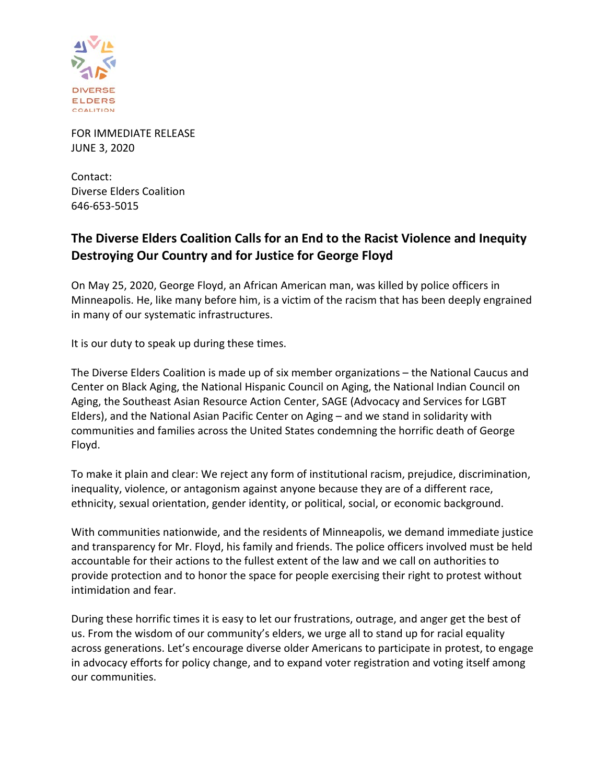

FOR IMMEDIATE RELEASE JUNE 3, 2020

Contact: Diverse Elders Coalition 646-653-5015

## **The Diverse Elders Coalition Calls for an End to the Racist Violence and Inequity Destroying Our Country and for Justice for George Floyd**

On May 25, 2020, George Floyd, an African American man, was killed by police officers in Minneapolis. He, like many before him, is a victim of the racism that has been deeply engrained in many of our systematic infrastructures.

It is our duty to speak up during these times.

The Diverse Elders Coalition is made up of six member organizations – the National Caucus and Center on Black Aging, the National Hispanic Council on Aging, the National Indian Council on Aging, the Southeast Asian Resource Action Center, SAGE (Advocacy and Services for LGBT Elders), and the National Asian Pacific Center on Aging – and we stand in solidarity with communities and families across the United States condemning the horrific death of George Floyd.

To make it plain and clear: We reject any form of institutional racism, prejudice, discrimination, inequality, violence, or antagonism against anyone because they are of a different race, ethnicity, sexual orientation, gender identity, or political, social, or economic background.

With communities nationwide, and the residents of Minneapolis, we demand immediate justice and transparency for Mr. Floyd, his family and friends. The police officers involved must be held accountable for their actions to the fullest extent of the law and we call on authorities to provide protection and to honor the space for people exercising their right to protest without intimidation and fear.

During these horrific times it is easy to let our frustrations, outrage, and anger get the best of us. From the wisdom of our community's elders, we urge all to stand up for racial equality across generations. Let's encourage diverse older Americans to participate in protest, to engage in advocacy efforts for policy change, and to expand voter registration and voting itself among our communities.